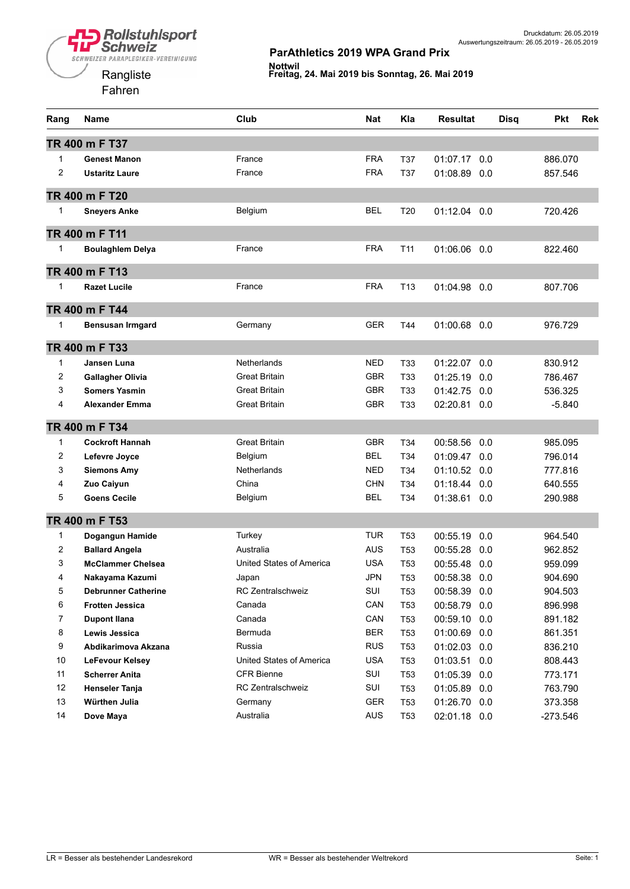

| Rang           | <b>Name</b>                | Club                     | <b>Nat</b> | Kla             | <b>Resultat</b> | <b>Disq</b> | <b>Pkt</b> | <b>Rek</b> |
|----------------|----------------------------|--------------------------|------------|-----------------|-----------------|-------------|------------|------------|
|                | TR 400 m F T37             |                          |            |                 |                 |             |            |            |
| 1              | <b>Genest Manon</b>        | France                   | <b>FRA</b> | <b>T37</b>      | 01:07.17        | 0.0         | 886.070    |            |
| $\overline{c}$ | <b>Ustaritz Laure</b>      | France                   | <b>FRA</b> | T37             | 01:08.89        | 0.0         | 857.546    |            |
|                | TR 400 m F T20             |                          |            |                 |                 |             |            |            |
|                |                            |                          | <b>BEL</b> |                 |                 |             |            |            |
| 1              | <b>Sneyers Anke</b>        | Belgium                  |            | T <sub>20</sub> | 01:12.04        | 0.0         | 720.426    |            |
|                | TR 400 m F T11             |                          |            |                 |                 |             |            |            |
| 1              | <b>Boulaghlem Delya</b>    | France                   | <b>FRA</b> | T <sub>11</sub> | 01:06.06        | 0.0         | 822.460    |            |
|                | TR 400 m F T13             |                          |            |                 |                 |             |            |            |
|                |                            |                          |            |                 |                 |             |            |            |
| 1              | <b>Razet Lucile</b>        | France                   | <b>FRA</b> | T <sub>13</sub> | 01:04.98        | 0.0         | 807.706    |            |
|                | TR 400 m F T44             |                          |            |                 |                 |             |            |            |
| 1              | <b>Bensusan Irmgard</b>    | Germany                  | <b>GER</b> | T44             | 01:00.68        | 0.0         | 976.729    |            |
|                |                            |                          |            |                 |                 |             |            |            |
|                | TR 400 m F T33             |                          |            |                 |                 |             |            |            |
| 1              | Jansen Luna                | <b>Netherlands</b>       | <b>NED</b> | T33             | 01:22.07        | 0.0         | 830.912    |            |
| 2              | <b>Gallagher Olivia</b>    | Great Britain            | <b>GBR</b> | T33             | 01:25.19        | 0.0         | 786.467    |            |
| 3              | <b>Somers Yasmin</b>       | <b>Great Britain</b>     | <b>GBR</b> | T33             | 01:42.75        | 0.0         | 536.325    |            |
| 4              | <b>Alexander Emma</b>      | <b>Great Britain</b>     | <b>GBR</b> | T33             | 02:20.81        | 0.0         | $-5.840$   |            |
|                | TR 400 m F T34             |                          |            |                 |                 |             |            |            |
| 1              | <b>Cockroft Hannah</b>     | <b>Great Britain</b>     | <b>GBR</b> | T34             | 00:58.56        | 0.0         | 985.095    |            |
| 2              | Lefevre Joyce              | Belgium                  | <b>BEL</b> | T34             | 01:09.47        | 0.0         | 796.014    |            |
| 3              | <b>Siemons Amy</b>         | <b>Netherlands</b>       | <b>NED</b> | T34             | 01:10.52        | 0.0         | 777.816    |            |
| 4              | Zuo Caiyun                 | China                    | <b>CHN</b> | T34             | 01:18.44        | 0.0         | 640.555    |            |
| 5              | <b>Goens Cecile</b>        | Belgium                  | <b>BEL</b> | T34             | 01:38.61        | 0.0         | 290.988    |            |
|                | TR 400 m F T53             |                          |            |                 |                 |             |            |            |
| $\mathbf{1}$   | Dogangun Hamide            | Turkey                   | <b>TUR</b> | T <sub>53</sub> | 00:55.19        | 0.0         | 964.540    |            |
| 2              | <b>Ballard Angela</b>      | Australia                | <b>AUS</b> | T53             | 00:55.28        | 0.0         | 962.852    |            |
| 3              | <b>McClammer Chelsea</b>   | United States of America | <b>USA</b> | T <sub>53</sub> | 00:55.48        | 0.0         | 959.099    |            |
| 4              | Nakayama Kazumi            | Japan                    | <b>JPN</b> | T <sub>53</sub> | 00:58.38        | 0.0         | 904.690    |            |
| 5              | <b>Debrunner Catherine</b> | RC Zentralschweiz        | SUI        | T <sub>53</sub> | 00:58.39        | 0.0         | 904.503    |            |
| 6              | <b>Frotten Jessica</b>     | Canada                   | CAN        | T <sub>53</sub> | 00:58.79        | 0.0         | 896.998    |            |
| $\overline{7}$ | <b>Dupont Ilana</b>        | Canada                   | CAN        | T <sub>53</sub> | 00:59.10        | 0.0         | 891.182    |            |
| 8              | Lewis Jessica              | Bermuda                  | <b>BER</b> | T <sub>53</sub> | 01:00.69        | 0.0         | 861.351    |            |
| 9              | Abdikarimova Akzana        | Russia                   | <b>RUS</b> | T53             | 01:02.03        | 0.0         | 836.210    |            |
| 10             | LeFevour Kelsey            | United States of America | <b>USA</b> | T <sub>53</sub> | 01:03.51        | 0.0         | 808.443    |            |
| 11             | <b>Scherrer Anita</b>      | <b>CFR Bienne</b>        | SUI        | T <sub>53</sub> | 01:05.39        | 0.0         | 773.171    |            |
| 12             | <b>Henseler Tanja</b>      | RC Zentralschweiz        | SUI        | T <sub>53</sub> | 01:05.89 0.0    |             | 763.790    |            |
| 13             | Würthen Julia              | Germany                  | <b>GER</b> | T <sub>53</sub> | 01:26.70        | 0.0         | 373.358    |            |
| 14             | Dove Maya                  | Australia                | <b>AUS</b> | T <sub>53</sub> | 02:01.18 0.0    |             | $-273.546$ |            |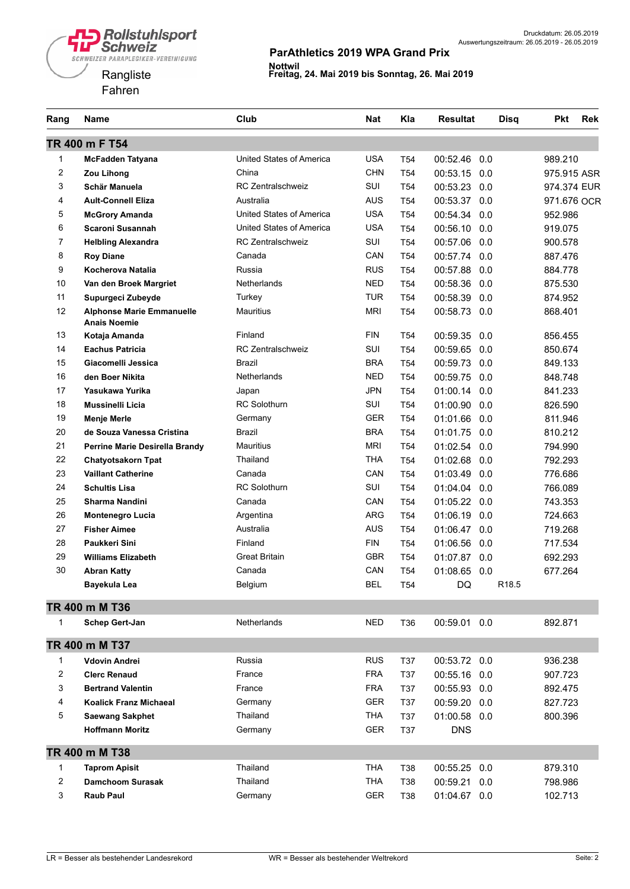

| Rang           | Name                                                    | Club                     | <b>Nat</b> | Kla             | <b>Resultat</b> | <b>Disq</b>       | <b>Pkt</b>  | <b>Rek</b> |
|----------------|---------------------------------------------------------|--------------------------|------------|-----------------|-----------------|-------------------|-------------|------------|
|                | TR 400 m F T54                                          |                          |            |                 |                 |                   |             |            |
| 1              | <b>McFadden Tatyana</b>                                 | United States of America | <b>USA</b> | T <sub>54</sub> | 00:52.46        | 0.0               | 989.210     |            |
| 2              | Zou Lihong                                              | China                    | <b>CHN</b> | T <sub>54</sub> | 00:53.15        | 0.0               | 975.915 ASR |            |
| 3              | Schär Manuela                                           | <b>RC Zentralschweiz</b> | SUI        | T <sub>54</sub> | 00:53.23 0.0    |                   | 974.374 EUR |            |
| 4              | <b>Ault-Connell Eliza</b>                               | Australia                | <b>AUS</b> | T <sub>54</sub> | 00:53.37 0.0    |                   | 971.676 OCR |            |
| 5              | <b>McGrory Amanda</b>                                   | United States of America | <b>USA</b> | T <sub>54</sub> | 00:54.34        | 0.0               | 952.986     |            |
| 6              | Scaroni Susannah                                        | United States of America | <b>USA</b> | T <sub>54</sub> | 00:56.10 0.0    |                   | 919.075     |            |
| 7              | <b>Helbling Alexandra</b>                               | <b>RC Zentralschweiz</b> | SUI        | T <sub>54</sub> | 00:57.06        | 0.0               | 900.578     |            |
| 8              | <b>Roy Diane</b>                                        | Canada                   | CAN        | T <sub>54</sub> | 00:57.74 0.0    |                   | 887.476     |            |
| 9              | Kocherova Natalia                                       | Russia                   | <b>RUS</b> | T <sub>54</sub> | 00:57.88        | 0.0               | 884.778     |            |
| 10             | Van den Broek Margriet                                  | <b>Netherlands</b>       | <b>NED</b> | T <sub>54</sub> | 00:58.36        | 0.0               | 875.530     |            |
| 11             | Supurgeci Zubeyde                                       | Turkey                   | <b>TUR</b> | T <sub>54</sub> | 00:58.39        | 0.0               | 874.952     |            |
| 12             | <b>Alphonse Marie Emmanuelle</b><br><b>Anais Noemie</b> | Mauritius                | <b>MRI</b> | T <sub>54</sub> | 00:58.73        | 0.0               | 868.401     |            |
| 13             | Kotaja Amanda                                           | Finland                  | FIN        | T54             | 00:59.35        | 0.0               | 856.455     |            |
| 14             | <b>Eachus Patricia</b>                                  | <b>RC Zentralschweiz</b> | SUI        | T <sub>54</sub> | 00:59.65        | 0.0               | 850.674     |            |
| 15             | Giacomelli Jessica                                      | Brazil                   | <b>BRA</b> | T <sub>54</sub> | 00:59.73        | 0.0               | 849.133     |            |
| 16             | den Boer Nikita                                         | <b>Netherlands</b>       | <b>NED</b> | T <sub>54</sub> | 00:59.75        | 0.0               | 848.748     |            |
| 17             | Yasukawa Yurika                                         | Japan                    | <b>JPN</b> | T <sub>54</sub> | 01:00.14        | 0.0               | 841.233     |            |
| 18             | <b>Mussinelli Licia</b>                                 | <b>RC Solothurn</b>      | SUI        | T <sub>54</sub> | 01:00.90 0.0    |                   | 826.590     |            |
| 19             | <b>Menje Merle</b>                                      | Germany                  | <b>GER</b> | T <sub>54</sub> | 01:01.66 0.0    |                   | 811.946     |            |
| 20             | de Souza Vanessa Cristina                               | Brazil                   | <b>BRA</b> | T <sub>54</sub> | 01:01.75        | 0.0               | 810.212     |            |
| 21             | Perrine Marie Desirella Brandy                          | <b>Mauritius</b>         | <b>MRI</b> | T <sub>54</sub> | 01:02.54 0.0    |                   | 794.990     |            |
| 22             | <b>Chatyotsakorn Tpat</b>                               | Thailand                 | <b>THA</b> | T <sub>54</sub> | 01:02.68        | 0.0               | 792.293     |            |
| 23             | <b>Vaillant Catherine</b>                               | Canada                   | CAN        | T <sub>54</sub> | 01:03.49 0.0    |                   | 776.686     |            |
| 24             | <b>Schultis Lisa</b>                                    | <b>RC Solothurn</b>      | SUI        | T <sub>54</sub> | 01:04.04        | 0.0               | 766.089     |            |
| 25             | Sharma Nandini                                          | Canada                   | CAN        | T <sub>54</sub> | 01:05.22        | 0.0               | 743.353     |            |
| 26             | <b>Montenegro Lucia</b>                                 | Argentina                | <b>ARG</b> | T <sub>54</sub> | 01:06.19        | 0.0               | 724.663     |            |
| 27             | <b>Fisher Aimee</b>                                     | Australia                | <b>AUS</b> | T <sub>54</sub> | 01:06.47 0.0    |                   | 719.268     |            |
| 28             | Paukkeri Sini                                           | Finland                  | <b>FIN</b> | T <sub>54</sub> | 01:06.56        | 0.0               | 717.534     |            |
| 29             | <b>Williams Elizabeth</b>                               | <b>Great Britain</b>     | <b>GBR</b> | T <sub>54</sub> | 01:07.87 0.0    |                   | 692.293     |            |
| 30             | <b>Abran Katty</b>                                      | Canada                   | CAN        | T <sub>54</sub> | 01:08.65 0.0    |                   | 677.264     |            |
|                | Bayekula Lea                                            | Belgium                  | <b>BEL</b> | T <sub>54</sub> | DQ              | R <sub>18.5</sub> |             |            |
|                | TR 400 m M T36                                          |                          |            |                 |                 |                   |             |            |
| 1              | Schep Gert-Jan                                          | <b>Netherlands</b>       | <b>NED</b> | T36             | 00:59.01 0.0    |                   | 892.871     |            |
|                | TR 400 m M T37                                          |                          |            |                 |                 |                   |             |            |
| 1              | Vdovin Andrei                                           | Russia                   | <b>RUS</b> | <b>T37</b>      | 00:53.72 0.0    |                   | 936.238     |            |
| 2              | <b>Clerc Renaud</b>                                     | France                   | <b>FRA</b> | T37             | 00:55.16 0.0    |                   | 907.723     |            |
| 3              | <b>Bertrand Valentin</b>                                | France                   | <b>FRA</b> | T37             | 00:55.93 0.0    |                   | 892.475     |            |
| 4              | <b>Koalick Franz Michaeal</b>                           | Germany                  | GER        | T37             | 00:59.20 0.0    |                   | 827.723     |            |
| 5              | <b>Saewang Sakphet</b>                                  | Thailand                 | <b>THA</b> | <b>T37</b>      | 01:00.58 0.0    |                   | 800.396     |            |
|                | <b>Hoffmann Moritz</b>                                  | Germany                  | GER        | <b>T37</b>      | <b>DNS</b>      |                   |             |            |
|                | TR 400 m M T38                                          |                          |            |                 |                 |                   |             |            |
| 1              | <b>Taprom Apisit</b>                                    | Thailand                 | <b>THA</b> | T38             | 00:55.25 0.0    |                   | 879.310     |            |
| $\overline{c}$ | <b>Damchoom Surasak</b>                                 | Thailand                 | <b>THA</b> | T38             | 00:59.21 0.0    |                   | 798.986     |            |
| 3              | Raub Paul                                               | Germany                  | <b>GER</b> | T38             | 01:04.67 0.0    |                   | 102.713     |            |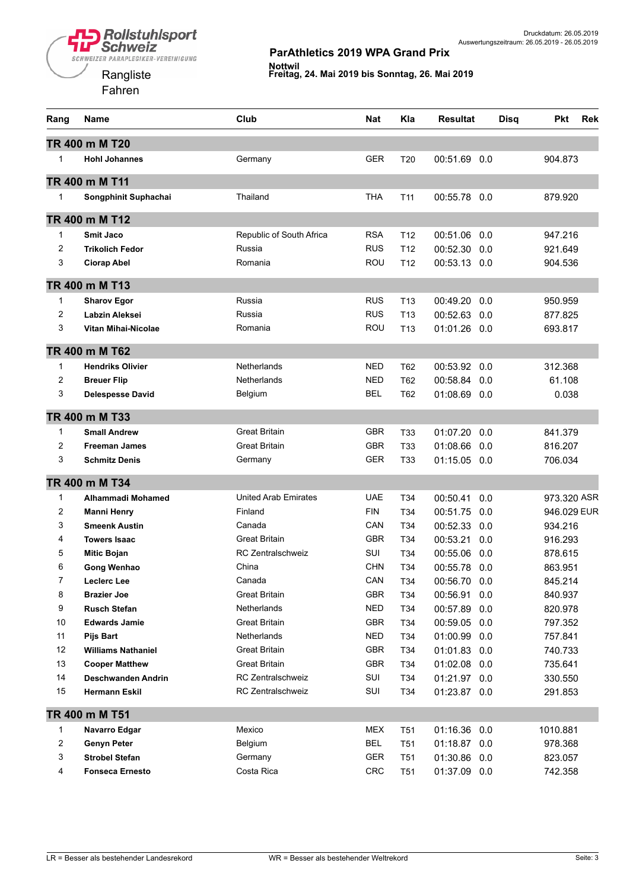# **Rollstuhlsport**<br>Schweiz SCHWEIZER PARAPLEGIKER-VEREINIGUNG



#### **ParAthletics 2019 WPA Grand Prix**

| Rang                    | Name                      | Club                        | Nat        | Kla             | <b>Resultat</b> | <b>Disq</b> | Pkt         | <b>Rek</b> |
|-------------------------|---------------------------|-----------------------------|------------|-----------------|-----------------|-------------|-------------|------------|
|                         | TR 400 m M T20            |                             |            |                 |                 |             |             |            |
| $\mathbf{1}$            | <b>Hohl Johannes</b>      | Germany                     | <b>GER</b> | T <sub>20</sub> | 00:51.69 0.0    |             | 904.873     |            |
|                         | TR 400 m M T11            |                             |            |                 |                 |             |             |            |
| $\mathbf{1}$            | Songphinit Suphachai      | Thailand                    | <b>THA</b> | T <sub>11</sub> | 00:55.78 0.0    |             | 879.920     |            |
|                         |                           |                             |            |                 |                 |             |             |            |
|                         | TR 400 m M T12            |                             |            |                 |                 |             |             |            |
| $\mathbf{1}$            | <b>Smit Jaco</b>          | Republic of South Africa    | <b>RSA</b> | T <sub>12</sub> | 00:51.06        | 0.0         | 947.216     |            |
| 2                       | <b>Trikolich Fedor</b>    | Russia                      | <b>RUS</b> | T <sub>12</sub> | 00:52.30        | 0.0         | 921.649     |            |
| 3                       | <b>Ciorap Abel</b>        | Romania                     | ROU        | T <sub>12</sub> | 00:53.13 0.0    |             | 904.536     |            |
|                         | TR 400 m M T13            |                             |            |                 |                 |             |             |            |
| 1                       | <b>Sharov Egor</b>        | Russia                      | <b>RUS</b> | T <sub>13</sub> | 00:49.20        | 0.0         | 950.959     |            |
| $\overline{2}$          | Labzin Aleksei            | Russia                      | <b>RUS</b> | T <sub>13</sub> | 00:52.63        | 0.0         | 877.825     |            |
| 3                       | Vitan Mihai-Nicolae       | Romania                     | ROU        | T13             | 01:01.26        | 0.0         | 693.817     |            |
|                         | TR 400 m M T62            |                             |            |                 |                 |             |             |            |
| $\mathbf{1}$            | <b>Hendriks Olivier</b>   | <b>Netherlands</b>          | NED        | T62             | 00:53.92        | 0.0         | 312.368     |            |
| 2                       | <b>Breuer Flip</b>        | Netherlands                 | <b>NED</b> | T62             | 00:58.84        | 0.0         | 61.108      |            |
| 3                       | <b>Delespesse David</b>   | Belgium                     | <b>BEL</b> | T62             | 01:08.69        | 0.0         | 0.038       |            |
|                         | TR 400 m M T33            |                             |            |                 |                 |             |             |            |
| $\mathbf{1}$            | <b>Small Andrew</b>       | <b>Great Britain</b>        | <b>GBR</b> | T33             | 01:07.20        | 0.0         | 841.379     |            |
| $\overline{c}$          | <b>Freeman James</b>      | Great Britain               | <b>GBR</b> | T <sub>33</sub> | 01:08.66        | 0.0         | 816.207     |            |
| 3                       | <b>Schmitz Denis</b>      | Germany                     | <b>GER</b> | T33             | $01:15.05$ 0.0  |             | 706.034     |            |
|                         | TR 400 m M T34            |                             |            |                 |                 |             |             |            |
| 1                       | Alhammadi Mohamed         | <b>United Arab Emirates</b> | <b>UAE</b> | T34             | 00:50.41        | 0.0         | 973.320 ASR |            |
| 2                       | <b>Manni Henry</b>        | Finland                     | <b>FIN</b> | T34             | 00:51.75        | 0.0         | 946.029 EUR |            |
| 3                       | <b>Smeenk Austin</b>      | Canada                      | CAN        | T34             | 00:52.33        | 0.0         | 934.216     |            |
| 4                       | <b>Towers Isaac</b>       | <b>Great Britain</b>        | <b>GBR</b> | T34             | 00:53.21        | 0.0         | 916.293     |            |
| 5                       | <b>Mitic Bojan</b>        | <b>RC Zentralschweiz</b>    | SUI        | T34             | 00:55.06        | 0.0         | 878.615     |            |
| 6                       | Gong Wenhao               | China                       | <b>CHN</b> | T34             | 00:55.78        | 0.0         | 863.951     |            |
| 7                       | Leclerc Lee               | Canada                      | CAN        | T34             | 00:56.70 0.0    |             | 845.214     |            |
| 8                       | <b>Brazier Joe</b>        | Great Britain               | GBR        | T34             | 00:56.91        | 0.0         | 840.937     |            |
| 9                       | <b>Rusch Stefan</b>       | Netherlands                 | <b>NED</b> | T34             | 00:57.89        | 0.0         | 820.978     |            |
| 10                      | <b>Edwards Jamie</b>      | Great Britain               | <b>GBR</b> | T34             | 00:59.05 0.0    |             | 797.352     |            |
| 11                      | <b>Pijs Bart</b>          | Netherlands                 | <b>NED</b> | T34             | 01:00.99 0.0    |             | 757.841     |            |
| 12                      | <b>Williams Nathaniel</b> | Great Britain               | <b>GBR</b> | T34             | 01:01.83        | 0.0         | 740.733     |            |
| 13                      | <b>Cooper Matthew</b>     | Great Britain               | <b>GBR</b> | T34             | 01:02.08 0.0    |             | 735.641     |            |
| 14                      | Deschwanden Andrin        | RC Zentralschweiz           | SUI        | T34             | 01:21.97        | 0.0         | 330.550     |            |
| 15                      | <b>Hermann Eskil</b>      | RC Zentralschweiz           | SUI        | T34             | 01:23.87 0.0    |             | 291.853     |            |
|                         | TR 400 m M T51            |                             |            |                 |                 |             |             |            |
| 1                       | Navarro Edgar             | Mexico                      | <b>MEX</b> | T <sub>51</sub> | 01:16.36        | 0.0         | 1010.881    |            |
| $\overline{\mathbf{c}}$ | <b>Genyn Peter</b>        | Belgium                     | <b>BEL</b> | T51             | 01:18.87 0.0    |             | 978.368     |            |
| 3                       | <b>Strobel Stefan</b>     | Germany                     | <b>GER</b> | T <sub>51</sub> | 01:30.86        | 0.0         | 823.057     |            |
| 4                       | <b>Fonseca Ernesto</b>    | Costa Rica                  | <b>CRC</b> | T <sub>51</sub> | 01:37.09 0.0    |             | 742.358     |            |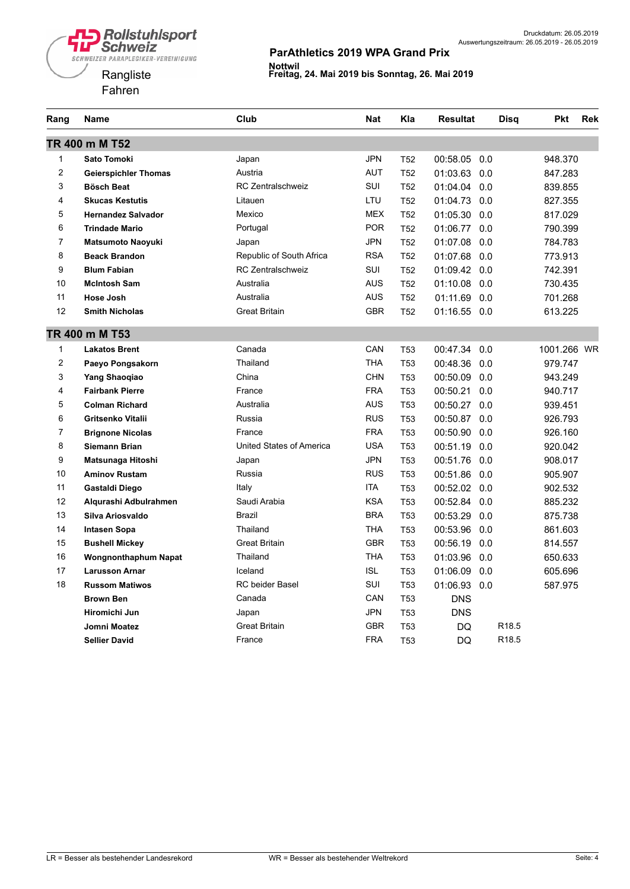

| Rang           | Name                        | Club                     | <b>Nat</b> | Kla             | <b>Resultat</b> | <b>Disq</b>       | <b>Pkt</b>  | <b>Rek</b> |
|----------------|-----------------------------|--------------------------|------------|-----------------|-----------------|-------------------|-------------|------------|
|                | TR 400 m M T52              |                          |            |                 |                 |                   |             |            |
| 1              | <b>Sato Tomoki</b>          | Japan                    | <b>JPN</b> | T <sub>52</sub> | 00:58.05        | 0.0               | 948.370     |            |
| $\overline{c}$ | <b>Geierspichler Thomas</b> | Austria                  | <b>AUT</b> | T <sub>52</sub> | 01:03.63        | 0.0               | 847.283     |            |
| 3              | <b>Bösch Beat</b>           | <b>RC Zentralschweiz</b> | SUI        | T <sub>52</sub> | 01:04.04        | 0.0               | 839.855     |            |
| 4              | <b>Skucas Kestutis</b>      | Litauen                  | <b>LTU</b> | T <sub>52</sub> | 01:04.73        | 0.0               | 827.355     |            |
| 5              | <b>Hernandez Salvador</b>   | Mexico                   | <b>MEX</b> | T <sub>52</sub> | 01:05.30        | 0.0               | 817.029     |            |
| 6              | <b>Trindade Mario</b>       | Portugal                 | <b>POR</b> | T <sub>52</sub> | 01:06.77        | 0.0               | 790.399     |            |
| 7              | <b>Matsumoto Naoyuki</b>    | Japan                    | <b>JPN</b> | T <sub>52</sub> | 01:07.08        | 0.0               | 784.783     |            |
| 8              | <b>Beack Brandon</b>        | Republic of South Africa | <b>RSA</b> | T <sub>52</sub> | 01:07.68        | 0.0               | 773.913     |            |
| 9              | <b>Blum Fabian</b>          | <b>RC Zentralschweiz</b> | SUI        | T <sub>52</sub> | 01:09.42 0.0    |                   | 742.391     |            |
| 10             | <b>McIntosh Sam</b>         | Australia                | <b>AUS</b> | T <sub>52</sub> | 01:10.08        | 0.0               | 730.435     |            |
| 11             | <b>Hose Josh</b>            | Australia                | <b>AUS</b> | T <sub>52</sub> | 01:11.69        | 0.0               | 701.268     |            |
| 12             | <b>Smith Nicholas</b>       | <b>Great Britain</b>     | <b>GBR</b> | T <sub>52</sub> | 01:16.55        | 0.0               | 613.225     |            |
|                | TR 400 m M T53              |                          |            |                 |                 |                   |             |            |
| 1              | <b>Lakatos Brent</b>        | Canada                   | CAN        | <b>T53</b>      | 00:47.34        | 0.0               | 1001.266 WR |            |
| 2              | Paeyo Pongsakorn            | Thailand                 | THA        | T <sub>53</sub> | 00:48.36        | 0.0               | 979.747     |            |
| 3              | <b>Yang Shaoqiao</b>        | China                    | <b>CHN</b> | T <sub>53</sub> | 00:50.09        | 0.0               | 943.249     |            |
| 4              | <b>Fairbank Pierre</b>      | France                   | <b>FRA</b> | T <sub>53</sub> | 00:50.21        | 0.0               | 940.717     |            |
| 5              | <b>Colman Richard</b>       | Australia                | <b>AUS</b> | <b>T53</b>      | 00:50.27        | 0.0               | 939.451     |            |
| 6              | Gritsenko Vitalii           | Russia                   | <b>RUS</b> | <b>T53</b>      | 00:50.87        | 0.0               | 926.793     |            |
| $\overline{7}$ | <b>Brignone Nicolas</b>     | France                   | <b>FRA</b> | T <sub>53</sub> | 00:50.90        | 0.0               | 926.160     |            |
| 8              | <b>Siemann Brian</b>        | United States of America | <b>USA</b> | T <sub>53</sub> | 00:51.19        | 0.0               | 920.042     |            |
| 9              | Matsunaga Hitoshi           | Japan                    | JPN        | T <sub>53</sub> | 00:51.76        | 0.0               | 908.017     |            |
| 10             | <b>Aminov Rustam</b>        | Russia                   | <b>RUS</b> | T <sub>53</sub> | 00:51.86        | 0.0               | 905.907     |            |
| 11             | Gastaldi Diego              | Italy                    | <b>ITA</b> | T <sub>53</sub> | 00:52.02        | 0.0               | 902.532     |            |
| 12             | Algurashi Adbulrahmen       | Saudi Arabia             | <b>KSA</b> | T <sub>53</sub> | 00:52.84        | 0.0               | 885.232     |            |
| 13             | Silva Ariosvaldo            | Brazil                   | <b>BRA</b> | T <sub>53</sub> | 00:53.29        | 0.0               | 875.738     |            |
| 14             | <b>Intasen Sopa</b>         | Thailand                 | <b>THA</b> | T <sub>53</sub> | 00:53.96        | 0.0               | 861.603     |            |
| 15             | <b>Bushell Mickey</b>       | <b>Great Britain</b>     | <b>GBR</b> | <b>T53</b>      | 00:56.19        | 0.0               | 814.557     |            |
| 16             | <b>Wongnonthaphum Napat</b> | Thailand                 | THA        | <b>T53</b>      | 01:03.96        | 0.0               | 650.633     |            |
| 17             | <b>Larusson Arnar</b>       | Iceland                  | <b>ISL</b> | T <sub>53</sub> | 01:06.09        | 0.0               | 605.696     |            |
| 18             | <b>Russom Matiwos</b>       | <b>RC</b> beider Basel   | SUI        | T <sub>53</sub> | 01:06.93        | 0.0               | 587.975     |            |
|                | <b>Brown Ben</b>            | Canada                   | CAN        | <b>T53</b>      | <b>DNS</b>      |                   |             |            |
|                | Hiromichi Jun               | Japan                    | JPN        | <b>T53</b>      | <b>DNS</b>      |                   |             |            |
|                | Jomni Moatez                | <b>Great Britain</b>     | <b>GBR</b> | T <sub>53</sub> | DQ              | R <sub>18.5</sub> |             |            |
|                | <b>Sellier David</b>        | France                   | <b>FRA</b> | <b>T53</b>      | DQ              | R <sub>18.5</sub> |             |            |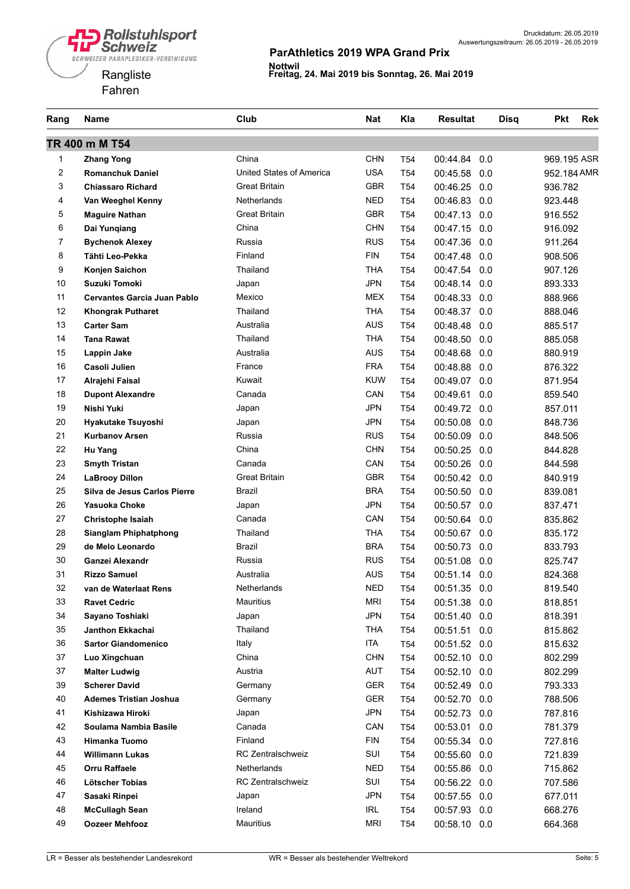

| Rang   | <b>Name</b>                        | Club                     | <b>Nat</b> | Kla             | <b>Resultat</b> | <b>Disq</b> | <b>Pkt</b>  | <b>Rek</b> |
|--------|------------------------------------|--------------------------|------------|-----------------|-----------------|-------------|-------------|------------|
|        | TR 400 m M T54                     |                          |            |                 |                 |             |             |            |
| 1      | <b>Zhang Yong</b>                  | China                    | <b>CHN</b> | T <sub>54</sub> | 00:44.84<br>0.0 |             | 969.195 ASR |            |
| 2      | <b>Romanchuk Daniel</b>            | United States of America | <b>USA</b> | T <sub>54</sub> | 00:45.58<br>0.0 |             | 952.184 AMR |            |
| 3      | <b>Chiassaro Richard</b>           | <b>Great Britain</b>     | GBR        | T54             | 00:46.25<br>0.0 |             | 936.782     |            |
| 4      | Van Weeghel Kenny                  | Netherlands              | <b>NED</b> | T54             | 00:46.83<br>0.0 |             | 923.448     |            |
| 5      | <b>Maguire Nathan</b>              | <b>Great Britain</b>     | <b>GBR</b> | T54             | 00:47.13<br>0.0 |             | 916.552     |            |
| 6      | Dai Yunqiang                       | China                    | <b>CHN</b> | T <sub>54</sub> | 00:47.15<br>0.0 |             | 916.092     |            |
| 7      | <b>Bychenok Alexey</b>             | Russia                   | <b>RUS</b> | T <sub>54</sub> | 00:47.36<br>0.0 |             | 911.264     |            |
| 8      | Tähti Leo-Pekka                    | Finland                  | <b>FIN</b> | T <sub>54</sub> | 00:47.48<br>0.0 |             | 908.506     |            |
| 9      | Konjen Saichon                     | Thailand                 | THA        | T <sub>54</sub> | 00:47.54<br>0.0 |             | 907.126     |            |
| 10     | <b>Suzuki Tomoki</b>               | Japan                    | <b>JPN</b> | T <sub>54</sub> | 00:48.14<br>0.0 |             | 893.333     |            |
| 11     | <b>Cervantes Garcia Juan Pablo</b> | Mexico                   | <b>MEX</b> | T54             | 00:48.33<br>0.0 |             | 888.966     |            |
| 12     | <b>Khongrak Putharet</b>           | Thailand                 | <b>THA</b> | T <sub>54</sub> | 00:48.37<br>0.0 |             | 888.046     |            |
| 13     | <b>Carter Sam</b>                  | Australia                | <b>AUS</b> | T <sub>54</sub> | 00:48.48<br>0.0 |             | 885.517     |            |
| 14     | <b>Tana Rawat</b>                  | Thailand                 | <b>THA</b> | T54             | 00:48.50<br>0.0 |             | 885.058     |            |
| 15     | Lappin Jake                        | Australia                | <b>AUS</b> | T54             | 00:48.68<br>0.0 |             | 880.919     |            |
| 16     | Casoli Julien                      | France                   | <b>FRA</b> | T <sub>54</sub> | 00:48.88<br>0.0 |             | 876.322     |            |
| 17     | Alrajehi Faisal                    | Kuwait                   | <b>KUW</b> | T <sub>54</sub> | 00:49.07<br>0.0 |             | 871.954     |            |
| 18     | <b>Dupont Alexandre</b>            | Canada                   | CAN        | T <sub>54</sub> | 00:49.61<br>0.0 |             | 859.540     |            |
| 19     | Nishi Yuki                         | Japan                    | <b>JPN</b> | T <sub>54</sub> | 00:49.72<br>0.0 |             | 857.011     |            |
| 20     | Hyakutake Tsuyoshi                 | Japan                    | <b>JPN</b> | T <sub>54</sub> | 00:50.08<br>0.0 |             | 848.736     |            |
| 21     | <b>Kurbanov Arsen</b>              | Russia                   | <b>RUS</b> | T <sub>54</sub> | 00:50.09<br>0.0 |             | 848.506     |            |
| 22     | Hu Yang                            | China                    | <b>CHN</b> | T54             | 00:50.25<br>0.0 |             | 844.828     |            |
| 23     | <b>Smyth Tristan</b>               | Canada                   | CAN        | T <sub>54</sub> | 00:50.26<br>0.0 |             | 844.598     |            |
| 24     | <b>LaBrooy Dillon</b>              | <b>Great Britain</b>     | <b>GBR</b> | T <sub>54</sub> | 00:50.42<br>0.0 |             | 840.919     |            |
| 25     | Silva de Jesus Carlos Pierre       | Brazil                   | <b>BRA</b> | T <sub>54</sub> | 00:50.50<br>0.0 |             | 839.081     |            |
| 26     | Yasuoka Choke                      | Japan                    | <b>JPN</b> | T54             | 00:50.57<br>0.0 |             | 837.471     |            |
| 27     | Christophe Isaiah                  | Canada                   | CAN        | T54             | 00:50.64<br>0.0 |             | 835.862     |            |
| 28     | <b>Sianglam Phiphatphong</b>       | Thailand                 | <b>THA</b> | T54             | 00:50.67<br>0.0 |             | 835.172     |            |
| 29     | de Melo Leonardo                   | Brazil                   | <b>BRA</b> | T54             | 00:50.73<br>0.0 |             | 833.793     |            |
| 30     | Ganzei Alexandr                    | Russia                   | <b>RUS</b> | T54             | 00:51.08<br>0.0 |             | 825.747     |            |
| 31     | <b>Rizzo Samuel</b>                | Australia                | <b>AUS</b> | T <sub>54</sub> | 00:51.14 0.0    |             | 824.368     |            |
| 32     | van de Waterlaat Rens              | Netherlands              | <b>NED</b> | T54             | 00:51.35 0.0    |             | 819.540     |            |
| 33     | <b>Ravet Cedric</b>                | Mauritius                | <b>MRI</b> | T54             | 00:51.38 0.0    |             | 818.851     |            |
| 34     | Sayano Toshiaki                    | Japan                    | <b>JPN</b> | T <sub>54</sub> | 00:51.40 0.0    |             | 818.391     |            |
| 35     | Janthon Ekkachai                   | Thailand                 | <b>THA</b> | T <sub>54</sub> | 00:51.51 0.0    |             | 815.862     |            |
| 36     | <b>Sartor Giandomenico</b>         | Italy                    | ITA        | T <sub>54</sub> | 00:51.52 0.0    |             | 815.632     |            |
| $37\,$ | Luo Xingchuan                      | China                    | <b>CHN</b> | T54             | 00:52.10 0.0    |             | 802.299     |            |
| 37     | <b>Malter Ludwig</b>               | Austria                  | <b>AUT</b> | T54             | 00:52.10<br>0.0 |             | 802.299     |            |
| 39     | <b>Scherer David</b>               | Germany                  | <b>GER</b> | T54             | 00:52.49 0.0    |             | 793.333     |            |
| 40     | <b>Ademes Tristian Joshua</b>      | Germany                  | <b>GER</b> | T54             | 00:52.70<br>0.0 |             | 788.506     |            |
| 41     | Kishizawa Hiroki                   | Japan                    | <b>JPN</b> | T54             | 00:52.73 0.0    |             | 787.816     |            |
| 42     | Soulama Nambia Basile              | Canada                   | CAN        | T54             | 00:53.01<br>0.0 |             | 781.379     |            |
| 43     | Himanka Tuomo                      | Finland                  | <b>FIN</b> | T54             | 00:55.34<br>0.0 |             | 727.816     |            |
| 44     | <b>Willimann Lukas</b>             | <b>RC Zentralschweiz</b> | SUI        | T54             | 00:55.60 0.0    |             | 721.839     |            |
| 45     | Orru Raffaele                      | Netherlands              | <b>NED</b> | T <sub>54</sub> | 00:55.86 0.0    |             | 715.862     |            |
| 46     | <b>Lötscher Tobias</b>             | <b>RC Zentralschweiz</b> | SUI        | T <sub>54</sub> | 00:56.22 0.0    |             | 707.586     |            |
| 47     | Sasaki Rinpei                      | Japan                    | <b>JPN</b> | T54             | 00:57.55 0.0    |             | 677.011     |            |
| 48     | <b>McCullagh Sean</b>              | Ireland                  | <b>IRL</b> | T54             | 00:57.93 0.0    |             | 668.276     |            |
| 49     | <b>Oozeer Mehfooz</b>              | Mauritius                | <b>MRI</b> | T54             | 00:58.10 0.0    |             | 664.368     |            |
|        |                                    |                          |            |                 |                 |             |             |            |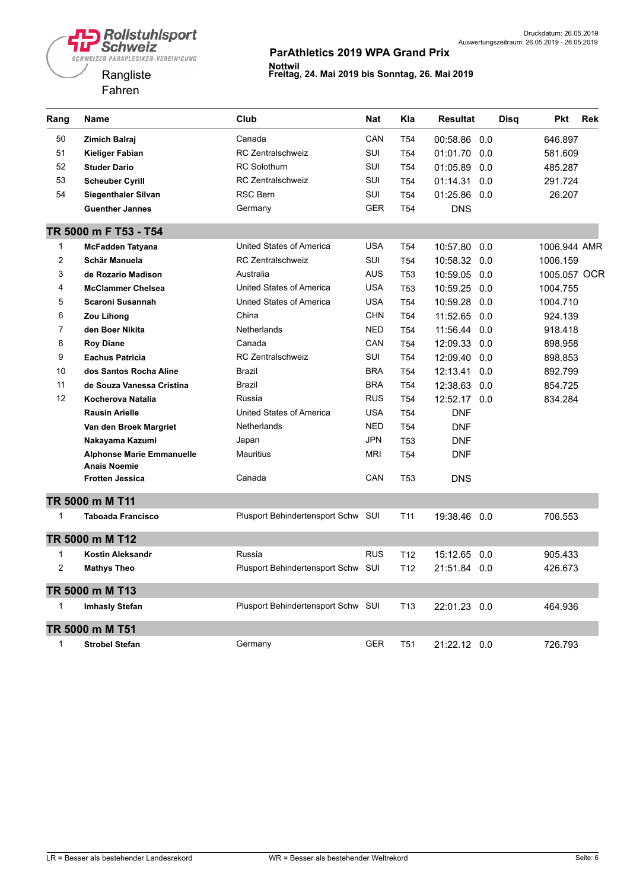

| Rang           | <b>Name</b>                                             | Club                               | <b>Nat</b> | Kla             | <b>Resultat</b> | Disq | <b>Pkt</b>   | <b>Rek</b> |
|----------------|---------------------------------------------------------|------------------------------------|------------|-----------------|-----------------|------|--------------|------------|
| 50             | Zimich Balraj                                           | Canada                             | CAN        | T <sub>54</sub> | 00:58.86 0.0    |      | 646.897      |            |
| 51             | Kieliger Fabian                                         | <b>RC Zentralschweiz</b>           | SUI        | T <sub>54</sub> | 01:01.70        | 0.0  | 581.609      |            |
| 52             | <b>Studer Dario</b>                                     | <b>RC Solothurn</b>                | SUI        | T <sub>54</sub> | 01:05.89        | 0.0  | 485.287      |            |
| 53             | <b>Scheuber Cyrill</b>                                  | <b>RC</b> Zentralschweiz           | SUI        | T <sub>54</sub> | 01:14.31        | 0.0  | 291.724      |            |
| 54             | <b>Siegenthaler Silvan</b>                              | RSC Bern                           | <b>SUI</b> | <b>T54</b>      | 01:25.86        | 0.0  | 26.207       |            |
|                | <b>Guenther Jannes</b>                                  | Germany                            | <b>GER</b> | T <sub>54</sub> | <b>DNS</b>      |      |              |            |
|                | TR 5000 m F T53 - T54                                   |                                    |            |                 |                 |      |              |            |
| 1              | <b>McFadden Tatyana</b>                                 | United States of America           | <b>USA</b> | T <sub>54</sub> | 10:57.80        | 0.0  | 1006.944 AMR |            |
| $\overline{c}$ | Schär Manuela                                           | <b>RC Zentralschweiz</b>           | SUI        | T <sub>54</sub> | 10:58.32        | 0.0  | 1006.159     |            |
| 3              | de Rozario Madison                                      | Australia                          | <b>AUS</b> | T <sub>53</sub> | 10:59.05        | 0.0  | 1005.057 OCR |            |
| 4              | <b>McClammer Chelsea</b>                                | United States of America           | <b>USA</b> | T <sub>53</sub> | 10:59.25 0.0    |      | 1004.755     |            |
| 5              | <b>Scaroni Susannah</b>                                 | United States of America           | <b>USA</b> | T <sub>54</sub> | 10:59.28        | 0.0  | 1004.710     |            |
| 6              | Zou Lihong                                              | China                              | <b>CHN</b> | T <sub>54</sub> | 11:52.65 0.0    |      | 924.139      |            |
| 7              | den Boer Nikita                                         | <b>Netherlands</b>                 | <b>NED</b> | T <sub>54</sub> | 11:56.44        | 0.0  | 918.418      |            |
| 8              | <b>Roy Diane</b>                                        | Canada                             | CAN        | T <sub>54</sub> | 12:09.33        | 0.0  | 898.958      |            |
| 9              | <b>Eachus Patricia</b>                                  | RC Zentralschweiz                  | SUI        | <b>T54</b>      | 12:09.40        | 0.0  | 898.853      |            |
| 10             | dos Santos Rocha Aline                                  | Brazil                             | <b>BRA</b> | T <sub>54</sub> | 12:13.41        | 0.0  | 892.799      |            |
| 11             | de Souza Vanessa Cristina                               | Brazil                             | <b>BRA</b> | T <sub>54</sub> | 12:38.63        | 0.0  | 854.725      |            |
| 12             | Kocherova Natalia                                       | Russia                             | <b>RUS</b> | <b>T54</b>      | 12:52.17 0.0    |      | 834.284      |            |
|                | <b>Rausin Arielle</b>                                   | United States of America           | <b>USA</b> | T <sub>54</sub> | <b>DNF</b>      |      |              |            |
|                | Van den Broek Margriet                                  | <b>Netherlands</b>                 | <b>NED</b> | T <sub>54</sub> | <b>DNF</b>      |      |              |            |
|                | Nakayama Kazumi                                         | Japan                              | <b>JPN</b> | T <sub>53</sub> | DNF             |      |              |            |
|                | <b>Alphonse Marie Emmanuelle</b><br><b>Anais Noemie</b> | Mauritius                          | <b>MRI</b> | T <sub>54</sub> | <b>DNF</b>      |      |              |            |
|                | <b>Frotten Jessica</b>                                  | Canada                             | CAN        | T <sub>53</sub> | <b>DNS</b>      |      |              |            |
|                | TR 5000 m M T11                                         |                                    |            |                 |                 |      |              |            |
| 1              | <b>Taboada Francisco</b>                                | Plusport Behindertensport Schw SUI |            | T11             | 19:38.46 0.0    |      | 706.553      |            |
|                | TR 5000 m M T12                                         |                                    |            |                 |                 |      |              |            |
| 1              | <b>Kostin Aleksandr</b>                                 | Russia                             | <b>RUS</b> | T <sub>12</sub> | 15:12.65        | 0.0  | 905.433      |            |
| $\overline{c}$ | <b>Mathys Theo</b>                                      | Plusport Behindertensport Schw SUI |            | T <sub>12</sub> | 21:51.84 0.0    |      | 426.673      |            |
|                | TR 5000 m M T13                                         |                                    |            |                 |                 |      |              |            |
| 1              | <b>Imhasly Stefan</b>                                   | Plusport Behindertensport Schw SUI |            | T <sub>13</sub> | 22:01.23 0.0    |      | 464.936      |            |
|                | TR 5000 m M T51                                         |                                    |            |                 |                 |      |              |            |
| 1              | <b>Strobel Stefan</b>                                   | Germany                            | <b>GER</b> | T <sub>51</sub> | 21:22.12 0.0    |      | 726.793      |            |